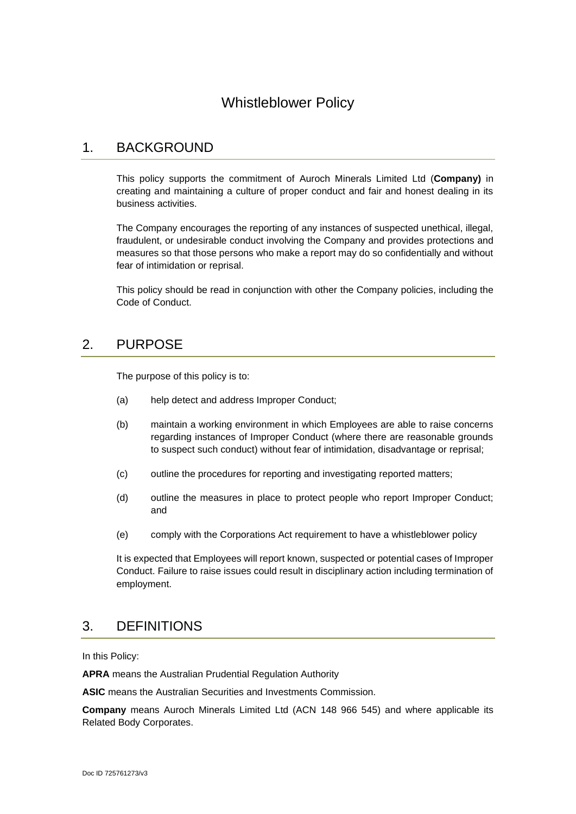# Whistleblower Policy

### 1. BACKGROUND

This policy supports the commitment of Auroch Minerals Limited Ltd (**Company)** in creating and maintaining a culture of proper conduct and fair and honest dealing in its business activities.

The Company encourages the reporting of any instances of suspected unethical, illegal, fraudulent, or undesirable conduct involving the Company and provides protections and measures so that those persons who make a report may do so confidentially and without fear of intimidation or reprisal.

This policy should be read in conjunction with other the Company policies, including the Code of Conduct.

### 2. PURPOSE

The purpose of this policy is to:

- (a) help detect and address Improper Conduct;
- (b) maintain a working environment in which Employees are able to raise concerns regarding instances of Improper Conduct (where there are reasonable grounds to suspect such conduct) without fear of intimidation, disadvantage or reprisal;
- (c) outline the procedures for reporting and investigating reported matters;
- (d) outline the measures in place to protect people who report Improper Conduct; and
- (e) comply with the Corporations Act requirement to have a whistleblower policy

It is expected that Employees will report known, suspected or potential cases of Improper Conduct. Failure to raise issues could result in disciplinary action including termination of employment.

### 3. DEFINITIONS

In this Policy:

**APRA** means the Australian Prudential Regulation Authority

**ASIC** means the Australian Securities and Investments Commission.

**Company** means Auroch Minerals Limited Ltd (ACN 148 966 545) and where applicable its Related Body Corporates.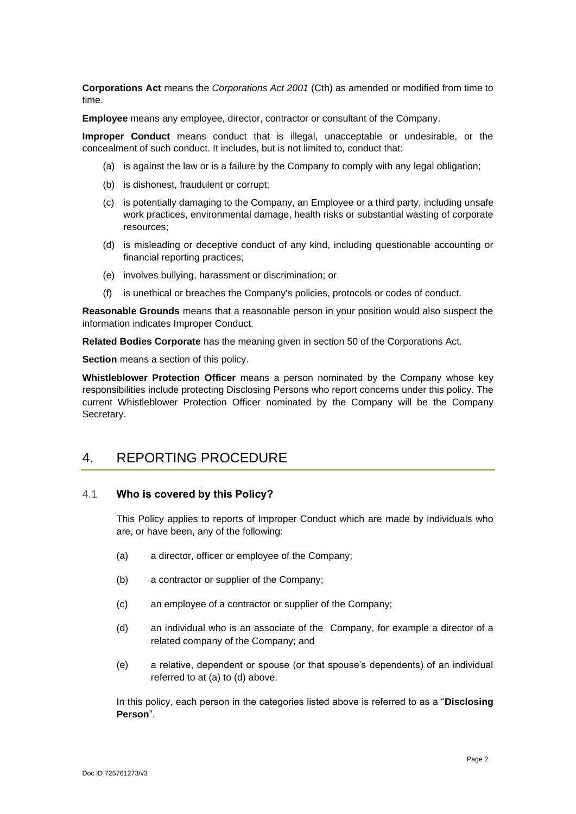**Corporations Act** means the *Corporations Act 2001* (Cth) as amended or modified from time to time.

**Employee** means any employee, director, contractor or consultant of the Company.

**Improper Conduct** means conduct that is illegal, unacceptable or undesirable, or the concealment of such conduct. It includes, but is not limited to, conduct that:

- (a) is against the law or is a failure by the Company to comply with any legal obligation;
- (b) is dishonest, fraudulent or corrupt;
- (c) is potentially damaging to the Company, an Employee or a third party, including unsafe work practices, environmental damage, health risks or substantial wasting of corporate resources;
- (d) is misleading or deceptive conduct of any kind, including questionable accounting or financial reporting practices;
- (e) involves bullying, harassment or discrimination; or
- (f) is unethical or breaches the Company's policies, protocols or codes of conduct.

**Reasonable Grounds** means that a reasonable person in your position would also suspect the information indicates Improper Conduct.

**Related Bodies Corporate** has the meaning given in section 50 of the Corporations Act.

**Section** means a section of this policy.

**Whistleblower Protection Officer** means a person nominated by the Company whose key responsibilities include protecting Disclosing Persons who report concerns under this policy. The current Whistleblower Protection Officer nominated by the Company will be the Company Secretary.

### 4. REPORTING PROCEDURE

#### 4.1 **Who is covered by this Policy?**

This Policy applies to reports of Improper Conduct which are made by individuals who are, or have been, any of the following:

- (a) a director, officer or employee of the Company;
- (b) a contractor or supplier of the Company;
- (c) an employee of a contractor or supplier of the Company;
- (d) an individual who is an associate of the Company, for example a director of a related company of the Company; and
- (e) a relative, dependent or spouse (or that spouse's dependents) of an individual referred to at (a) to (d) above.

In this policy, each person in the categories listed above is referred to as a "**Disclosing Person**".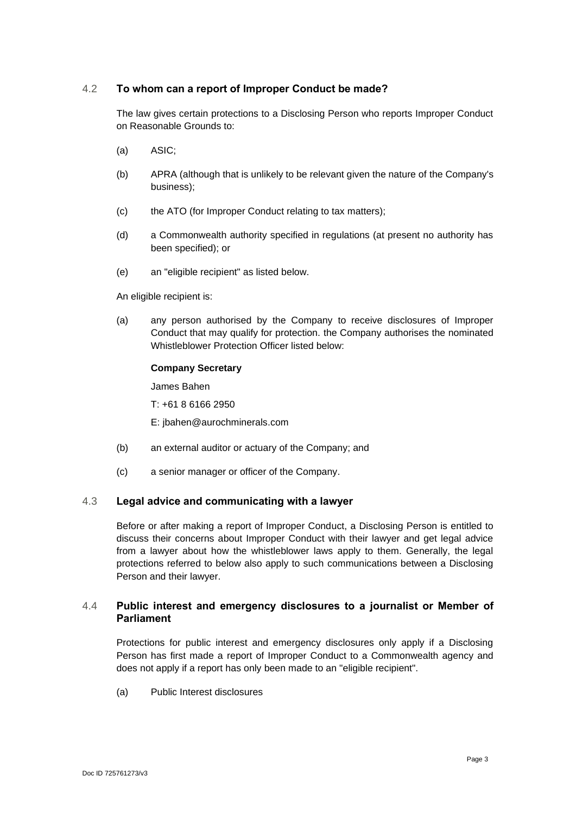#### 4.2 **To whom can a report of Improper Conduct be made?**

The law gives certain protections to a Disclosing Person who reports Improper Conduct on Reasonable Grounds to:

- (a) ASIC;
- (b) APRA (although that is unlikely to be relevant given the nature of the Company's business);
- (c) the ATO (for Improper Conduct relating to tax matters);
- (d) a Commonwealth authority specified in regulations (at present no authority has been specified); or
- (e) an "eligible recipient" as listed below.

An eligible recipient is:

(a) any person authorised by the Company to receive disclosures of Improper Conduct that may qualify for protection. the Company authorises the nominated Whistleblower Protection Officer listed below:

#### **Company Secretary**

James Bahen

T: +61 8 6166 2950

E: jbahen@aurochminerals.com

- (b) an external auditor or actuary of the Company; and
- (c) a senior manager or officer of the Company.

#### 4.3 **Legal advice and communicating with a lawyer**

Before or after making a report of Improper Conduct, a Disclosing Person is entitled to discuss their concerns about Improper Conduct with their lawyer and get legal advice from a lawyer about how the whistleblower laws apply to them. Generally, the legal protections referred to below also apply to such communications between a Disclosing Person and their lawyer.

#### 4.4 **Public interest and emergency disclosures to a journalist or Member of Parliament**

Protections for public interest and emergency disclosures only apply if a Disclosing Person has first made a report of Improper Conduct to a Commonwealth agency and does not apply if a report has only been made to an "eligible recipient".

(a) Public Interest disclosures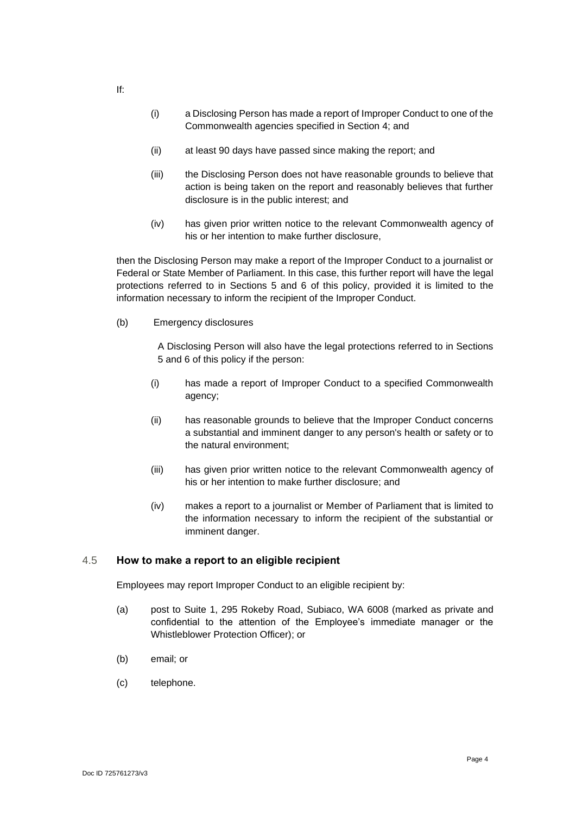- (i) a Disclosing Person has made a report of Improper Conduct to one of the Commonwealth agencies specified in Section 4; and
- (ii) at least 90 days have passed since making the report; and
- (iii) the Disclosing Person does not have reasonable grounds to believe that action is being taken on the report and reasonably believes that further disclosure is in the public interest; and
- (iv) has given prior written notice to the relevant Commonwealth agency of his or her intention to make further disclosure,

then the Disclosing Person may make a report of the Improper Conduct to a journalist or Federal or State Member of Parliament. In this case, this further report will have the legal protections referred to in Sections 5 and 6 of this policy, provided it is limited to the information necessary to inform the recipient of the Improper Conduct.

(b) Emergency disclosures

A Disclosing Person will also have the legal protections referred to in Sections 5 and 6 of this policy if the person:

- (i) has made a report of Improper Conduct to a specified Commonwealth agency;
- (ii) has reasonable grounds to believe that the Improper Conduct concerns a substantial and imminent danger to any person's health or safety or to the natural environment;
- (iii) has given prior written notice to the relevant Commonwealth agency of his or her intention to make further disclosure; and
- (iv) makes a report to a journalist or Member of Parliament that is limited to the information necessary to inform the recipient of the substantial or imminent danger.

#### 4.5 **How to make a report to an eligible recipient**

Employees may report Improper Conduct to an eligible recipient by:

- (a) post to Suite 1, 295 Rokeby Road, Subiaco, WA 6008 (marked as private and confidential to the attention of the Employee's immediate manager or the Whistleblower Protection Officer); or
- (b) email; or
- (c) telephone.

If: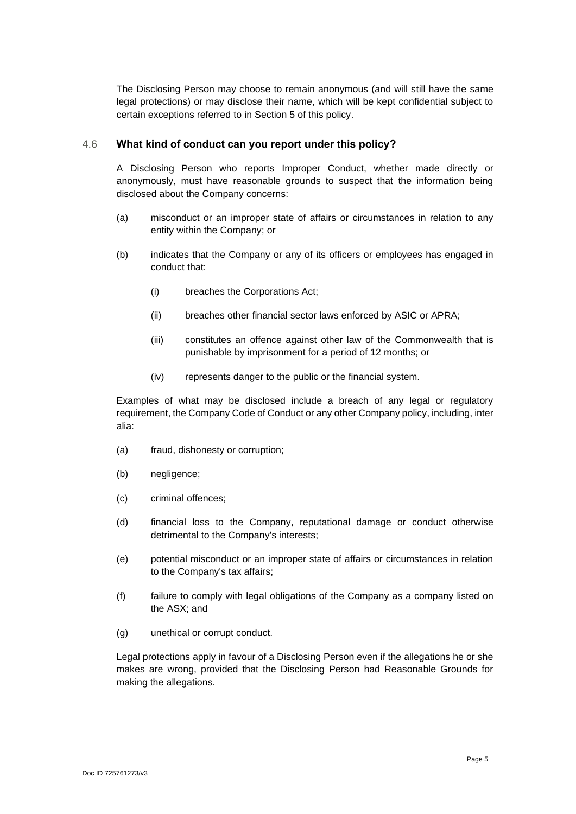The Disclosing Person may choose to remain anonymous (and will still have the same legal protections) or may disclose their name, which will be kept confidential subject to certain exceptions referred to in Section 5 of this policy.

#### 4.6 **What kind of conduct can you report under this policy?**

A Disclosing Person who reports Improper Conduct, whether made directly or anonymously, must have reasonable grounds to suspect that the information being disclosed about the Company concerns:

- (a) misconduct or an improper state of affairs or circumstances in relation to any entity within the Company; or
- (b) indicates that the Company or any of its officers or employees has engaged in conduct that:
	- (i) breaches the Corporations Act;
	- (ii) breaches other financial sector laws enforced by ASIC or APRA;
	- (iii) constitutes an offence against other law of the Commonwealth that is punishable by imprisonment for a period of 12 months; or
	- (iv) represents danger to the public or the financial system.

Examples of what may be disclosed include a breach of any legal or regulatory requirement, the Company Code of Conduct or any other Company policy, including, inter alia:

- (a) fraud, dishonesty or corruption;
- (b) negligence;
- (c) criminal offences;
- (d) financial loss to the Company, reputational damage or conduct otherwise detrimental to the Company's interests;
- (e) potential misconduct or an improper state of affairs or circumstances in relation to the Company's tax affairs;
- (f) failure to comply with legal obligations of the Company as a company listed on the ASX; and
- (g) unethical or corrupt conduct.

Legal protections apply in favour of a Disclosing Person even if the allegations he or she makes are wrong, provided that the Disclosing Person had Reasonable Grounds for making the allegations.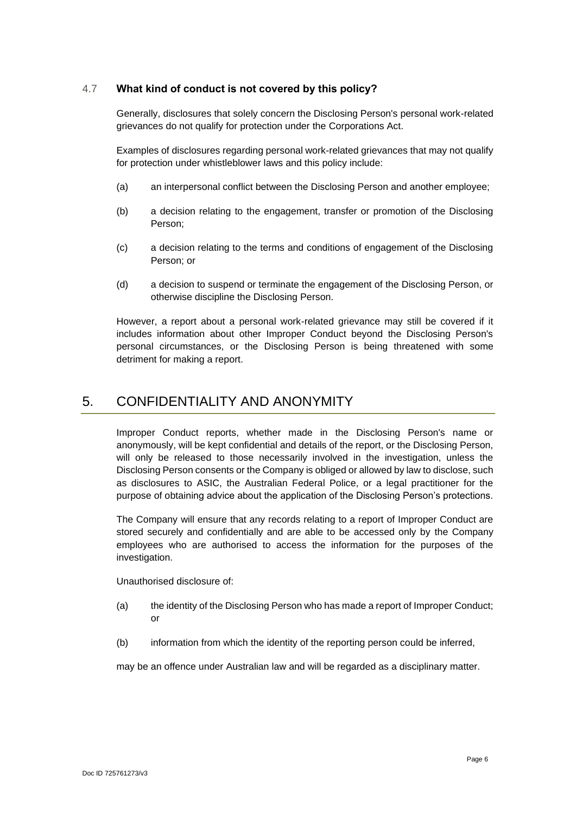#### 4.7 **What kind of conduct is not covered by this policy?**

Generally, disclosures that solely concern the Disclosing Person's personal work-related grievances do not qualify for protection under the Corporations Act.

Examples of disclosures regarding personal work-related grievances that may not qualify for protection under whistleblower laws and this policy include:

- (a) an interpersonal conflict between the Disclosing Person and another employee;
- (b) a decision relating to the engagement, transfer or promotion of the Disclosing Person;
- (c) a decision relating to the terms and conditions of engagement of the Disclosing Person; or
- (d) a decision to suspend or terminate the engagement of the Disclosing Person, or otherwise discipline the Disclosing Person.

However, a report about a personal work-related grievance may still be covered if it includes information about other Improper Conduct beyond the Disclosing Person's personal circumstances, or the Disclosing Person is being threatened with some detriment for making a report.

## 5. CONFIDENTIALITY AND ANONYMITY

Improper Conduct reports, whether made in the Disclosing Person's name or anonymously, will be kept confidential and details of the report, or the Disclosing Person, will only be released to those necessarily involved in the investigation, unless the Disclosing Person consents or the Company is obliged or allowed by law to disclose, such as disclosures to ASIC, the Australian Federal Police, or a legal practitioner for the purpose of obtaining advice about the application of the Disclosing Person's protections.

The Company will ensure that any records relating to a report of Improper Conduct are stored securely and confidentially and are able to be accessed only by the Company employees who are authorised to access the information for the purposes of the investigation.

Unauthorised disclosure of:

- (a) the identity of the Disclosing Person who has made a report of Improper Conduct; or
- (b) information from which the identity of the reporting person could be inferred,

may be an offence under Australian law and will be regarded as a disciplinary matter.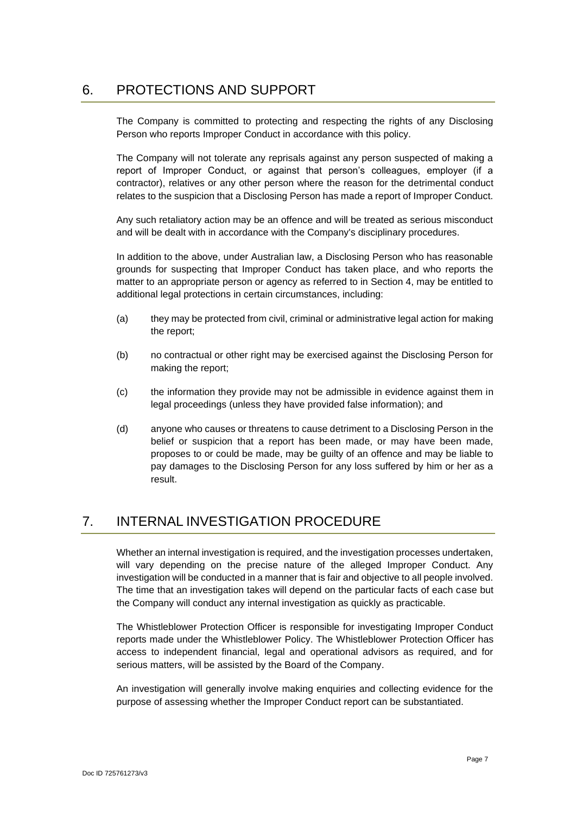## 6. PROTECTIONS AND SUPPORT

The Company is committed to protecting and respecting the rights of any Disclosing Person who reports Improper Conduct in accordance with this policy.

The Company will not tolerate any reprisals against any person suspected of making a report of Improper Conduct, or against that person's colleagues, employer (if a contractor), relatives or any other person where the reason for the detrimental conduct relates to the suspicion that a Disclosing Person has made a report of Improper Conduct.

Any such retaliatory action may be an offence and will be treated as serious misconduct and will be dealt with in accordance with the Company's disciplinary procedures.

In addition to the above, under Australian law, a Disclosing Person who has reasonable grounds for suspecting that Improper Conduct has taken place, and who reports the matter to an appropriate person or agency as referred to in Section 4, may be entitled to additional legal protections in certain circumstances, including:

- (a) they may be protected from civil, criminal or administrative legal action for making the report;
- (b) no contractual or other right may be exercised against the Disclosing Person for making the report;
- (c) the information they provide may not be admissible in evidence against them in legal proceedings (unless they have provided false information); and
- (d) anyone who causes or threatens to cause detriment to a Disclosing Person in the belief or suspicion that a report has been made, or may have been made, proposes to or could be made, may be guilty of an offence and may be liable to pay damages to the Disclosing Person for any loss suffered by him or her as a result.

# 7. INTERNAL INVESTIGATION PROCEDURE

Whether an internal investigation is required, and the investigation processes undertaken, will vary depending on the precise nature of the alleged Improper Conduct. Any investigation will be conducted in a manner that is fair and objective to all people involved. The time that an investigation takes will depend on the particular facts of each case but the Company will conduct any internal investigation as quickly as practicable.

The Whistleblower Protection Officer is responsible for investigating Improper Conduct reports made under the Whistleblower Policy. The Whistleblower Protection Officer has access to independent financial, legal and operational advisors as required, and for serious matters, will be assisted by the Board of the Company.

An investigation will generally involve making enquiries and collecting evidence for the purpose of assessing whether the Improper Conduct report can be substantiated.